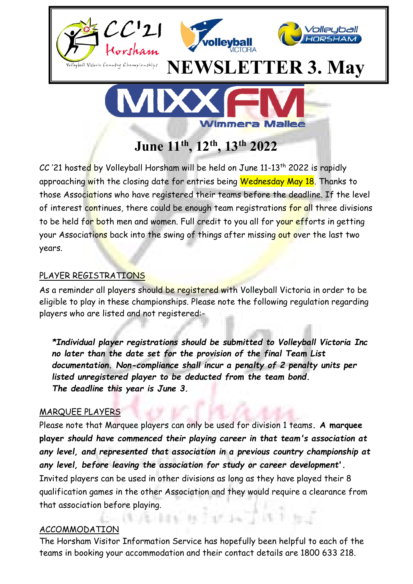

 $CC$  '21 hosted by Volleyball Horsham will be held on June 11-13<sup>th</sup> 2022 is rapidly approaching with the closing date for entries being Wednesday May 18. Thanks to those Associations who have registered their teams before the deadline. If the level of interest continues, there could be enough team registrations for all three divisions to be held for both men and women. Full credit to you all for your efforts in getting your Associations back into the swing of things after missing out over the last two years.

# PLAYER REGISTRATIONS

As a reminder all players should be registered with Volleyball Victoria in order to be eligible to play in these championships. Please note the following regulation regarding players who are listed and not registered:-

*\*Individual player registrations should be submitted to Volleyball Victoria Inc no later than the date set for the provision of the final Team List documentation. Non-compliance shall incur a penalty of 2 penalty units per listed unregistered player to be deducted from the team bond. The deadline this year is June 3.* 

# MARQUEE PLAYERS

Please note that Marquee players can only be used for division 1 teams**. A marquee player** *should have commenced their playing career in that team's association at any level, and represented that association in a previous country championship at any level, before leaving the association for study or career development***'.** Invited players can be used in other divisions as long as they have played their 8 qualification games in the other Association and they would require a clearance from that association before playing.

# ACCOMMODATION

The Horsham Visitor Information Service has hopefully been helpful to each of the teams in booking your accommodation and their contact details are 1800 633 218.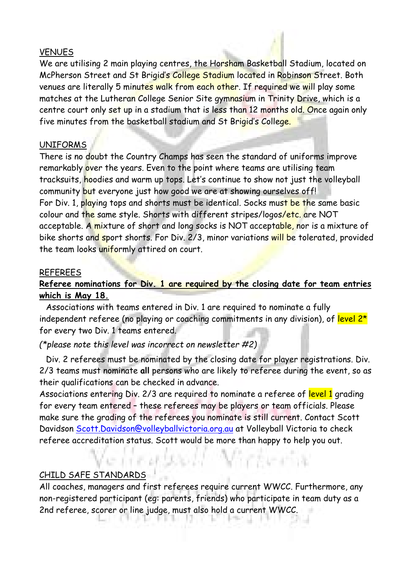#### VENUES

We are utilising 2 main playing centres, the Horsham Basketball Stadium, located on McPherson Street and St Brigid's College Stadium located in Robinson Street. Both venues are literally 5 minutes walk from each other. If required we will play some matches at the Lutheran College Senior Site gymnasium in Trinity Drive, which is a centre court only set up in a stadium that is less than 12 months old. Once again only five minutes from the basketball stadium and St Brigid's College.

#### UNIFORMS

There is no doubt the Country Champs has seen the standard of uniforms improve remarkably over the years. Even to the point where teams are utilising team tracksuits, hoodies and warm up tops. Let's continue to show not just the volleyball community but everyone just how good we are at showing ourselves off! For Div. 1, playing tops and shorts must be identical. Socks must be the same basic colour and the same style. Shorts with different stripes/logos/etc. are NOT acceptable. A mixture of short and long socks is NOT acceptable, nor is a mixture of bike shorts and sport shorts. For Div. 2/3, minor variations will be tolerated, provided the team looks uniformly attired on court.

#### REFEREES

# **Referee nominations for Div. 1 are required by the closing date for team entries which is May 18.**

 Associations with teams entered in Div. 1 are required to nominate a fully independent referee (no playing or coaching commitments in any division), of level  $2^{\star}$ for every two Div. 1 teams entered.

# *(\*please note this level was incorrect on newsletter #2)*

 Div. 2 referees must be nominated by the closing date for player registrations. Div. 2/3 teams must nominate **all** persons who are likely to referee during the event, so as their qualifications can be checked in advance.

Associations entering Div. 2/3 are required to nominate a referee of level 1 grading for every team entered – these referees may be players or team officials. Please make sure the grading of the referees you nominate is still current. Contact Scott Davidson Scott.Davidson@volleyballvictoria.org.au at Volleyball Victoria to check referee accreditation status. Scott would be more than happy to help you out.

#### CHILD SAFE STANDARDS

All coaches, managers and first referees require current WWCC. Furthermore, any non-registered participant (eg: parents, friends) who participate in team duty as a 2nd referee, scorer or line judge, must also hold a current WWCC.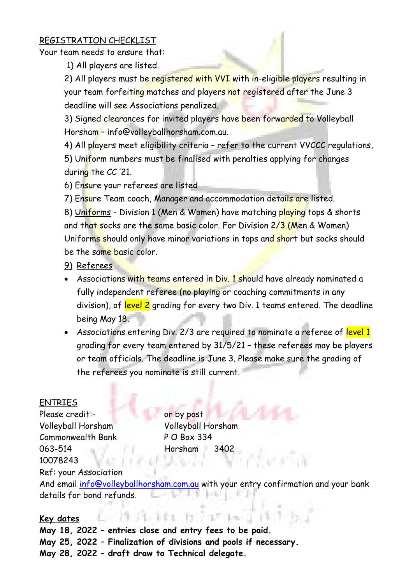#### REGISTRATION CHECKLIST

Your team needs to ensure that:

1) All players are listed.

2) All players must be registered with VVI with in-eligible players resulting in your team forfeiting matches and players not registered after the June 3 deadline will see Associations penalized.

3) Signed clearances for invited players have been forwarded to Volleyball Horsham – info@volleyballhorsham.com.au.

4) All players meet eligibility criteria - refer to the current VVCCC regulations, 5) Uniform numbers must be finalised with penalties applying for changes during the CC '21.

6) Ensure your referees are listed

7) Ensure Team coach, Manager and accommodation details are listed.

8) Uniforms - Division 1 (Men & Women) have matching playing tops & shorts and that socks are the same basic color. For Division 2/3 (Men & Women) Uniforms should only have minor variations in tops and short but socks should be the same basic color.

- 9) Referees
- Associations with teams entered in Div. 1 should have already nominated a fully independent referee (no playing or coaching commitments in any division), of level 2 grading for every two Div. 1 teams entered. The deadline being May 18.
- Associations entering Div. 2/3 are required to nominate a referee of level 1 grading for every team entered by 31/5/21 – these referees may be players or team officials. The deadline is June 3. Please make sure the grading of the referees you nominate is still current.

# ENTRIES

Please credit:- The Contract or by post Volleyball Horsham Volleyball Horsham Commonwealth Bank P O Box 334 063-514 Horsham 3402 10078243

# Ref: your Association

And email info@volleyballhorsham.com.au with your entry confirmation and your bank details for bond refunds.

# **Key dates**

**May 18, 2022 – entries close and entry fees to be paid. May 25, 2022 – Finalization of divisions and pools if necessary. May 28, 2022 – draft draw to Technical delegate.**